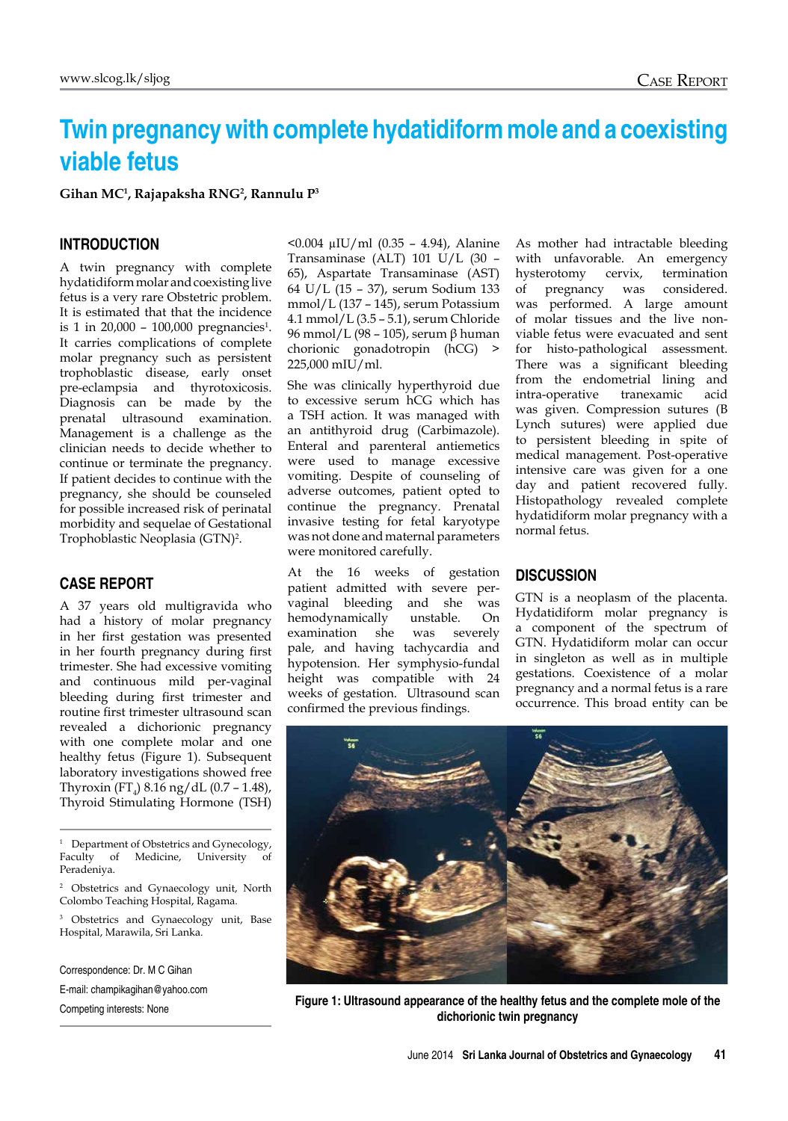# **Twin pregnancy with complete hydatidiform mole and a coexisting viable fetus**

**Gihan MC1 , Rajapaksha RNG2 , Rannulu P3**

## **Introduction**

A twin pregnancy with complete hydatidiform molar and coexisting live fetus is a very rare Obstetric problem. It is estimated that that the incidence is 1 in 20,000 - 100,000 pregnancies<sup>1</sup>. It carries complications of complete molar pregnancy such as persistent trophoblastic disease, early onset pre-eclampsia and thyrotoxicosis. Diagnosis can be made by the prenatal ultrasound examination. Management is a challenge as the clinician needs to decide whether to continue or terminate the pregnancy. If patient decides to continue with the pregnancy, she should be counseled for possible increased risk of perinatal morbidity and sequelae of Gestational Trophoblastic Neoplasia (GTN)<sup>2</sup>.

## **Case Report**

A 37 years old multigravida who had a history of molar pregnancy in her first gestation was presented in her fourth pregnancy during first trimester. She had excessive vomiting and continuous mild per-vaginal bleeding during first trimester and routine first trimester ultrasound scan revealed a dichorionic pregnancy with one complete molar and one healthy fetus (Figure 1). Subsequent laboratory investigations showed free Thyroxin  $(FT<sub>4</sub>)$  8.16 ng/dL (0.7 – 1.48), Thyroid Stimulating Hormone (TSH)

<sup>1</sup> Department of Obstetrics and Gynecology, Faculty of Medicine, University of Peradeniya.

<sup>2</sup> Obstetrics and Gynaecology unit, North Colombo Teaching Hospital, Ragama.

<sup>3</sup> Obstetrics and Gynaecology unit, Base Hospital, Marawila, Sri Lanka.

Correspondence: Dr. M C Gihan E-mail: champikagihan@yahoo.com <0.004 µIU/ml (0.35 – 4.94), Alanine Transaminase (ALT) 101 U/L (30 – 65), Aspartate Transaminase (AST) 64 U/L (15 – 37), serum Sodium 133 mmol/L (137 – 145), serum Potassium 4.1 mmol/L (3.5 – 5.1), serum Chloride 96 mmol/L (98 – 105), serum β human chorionic gonadotropin (hCG) > 225,000 mIU/ml.

She was clinically hyperthyroid due to excessive serum hCG which has a TSH action. It was managed with an antithyroid drug (Carbimazole). Enteral and parenteral antiemetics were used to manage excessive vomiting. Despite of counseling of adverse outcomes, patient opted to continue the pregnancy. Prenatal invasive testing for fetal karyotype was not done and maternal parameters were monitored carefully.

At the 16 weeks of gestation patient admitted with severe pervaginal bleeding and she was hemodynamically unstable. On examination she was severely pale, and having tachycardia and hypotension. Her symphysio-fundal height was compatible with 24 weeks of gestation. Ultrasound scan confirmed the previous findings.

As mother had intractable bleeding with unfavorable. An emergency<br>hysterotomy cervix, termination hysterotomy cervix, termination<br>of pregnancy was considered. pregnancy was considered. was performed. A large amount of molar tissues and the live nonviable fetus were evacuated and sent for histo-pathological assessment. There was a significant bleeding from the endometrial lining and intra-operative tranexamic acid was given. Compression sutures (B Lynch sutures) were applied due to persistent bleeding in spite of medical management. Post-operative intensive care was given for a one day and patient recovered fully. Histopathology revealed complete hydatidiform molar pregnancy with a normal fetus.

## **Discussion**

GTN is a neoplasm of the placenta. Hydatidiform molar pregnancy is a component of the spectrum of GTN. Hydatidiform molar can occur in singleton as well as in multiple gestations. Coexistence of a molar pregnancy and a normal fetus is a rare occurrence. This broad entity can be



Competing interests: None **Figure 1: Ultrasound appearance of the healthy fetus and the complete mole of the dichorionic twin pregnancy**